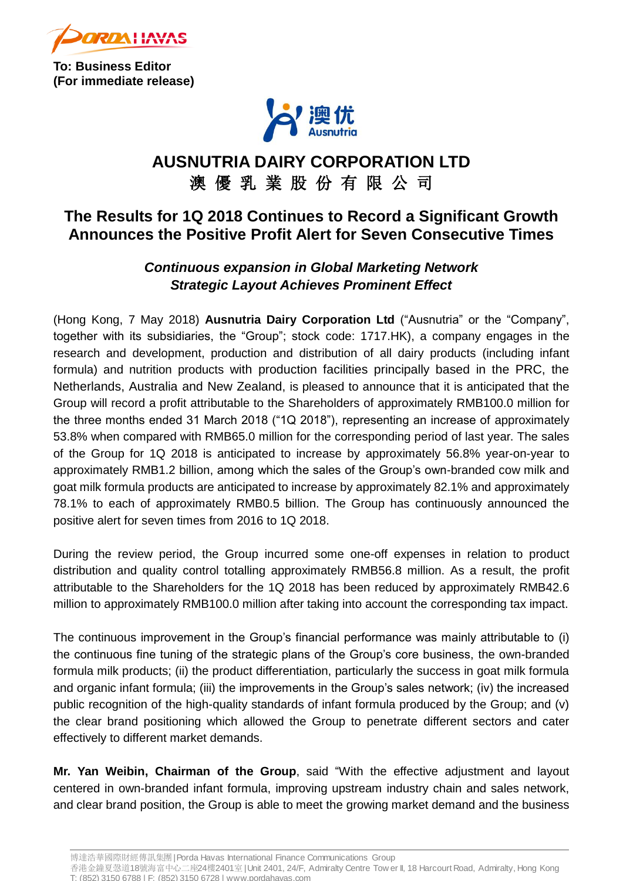

**To: Business Editor (For immediate release)**



# **AUSNUTRIA DAIRY CORPORATION LTD** 澳 優 乳 業 股 份 有 限 公 司

## **The Results for 1Q 2018 Continues to Record a Significant Growth Announces the Positive Profit Alert for Seven Consecutive Times**

## *Continuous expansion in Global Marketing Network Strategic Layout Achieves Prominent Effect*

(Hong Kong, 7 May 2018) **Ausnutria Dairy Corporation Ltd** ("Ausnutria" or the "Company", together with its subsidiaries, the "Group"; stock code: 1717.HK), a company engages in the research and development, production and distribution of all dairy products (including infant formula) and nutrition products with production facilities principally based in the PRC, the Netherlands, Australia and New Zealand, is pleased to announce that it is anticipated that the Group will record a profit attributable to the Shareholders of approximately RMB100.0 million for the three months ended 31 March 2018 ("1Q 2018"), representing an increase of approximately 53.8% when compared with RMB65.0 million for the corresponding period of last year. The sales of the Group for 1Q 2018 is anticipated to increase by approximately 56.8% year-on-year to approximately RMB1.2 billion, among which the sales of the Group's own-branded cow milk and goat milk formula products are anticipated to increase by approximately 82.1% and approximately 78.1% to each of approximately RMB0.5 billion. The Group has continuously announced the positive alert for seven times from 2016 to 1Q 2018.

During the review period, the Group incurred some one-off expenses in relation to product distribution and quality control totalling approximately RMB56.8 million. As a result, the profit attributable to the Shareholders for the 1Q 2018 has been reduced by approximately RMB42.6 million to approximately RMB100.0 million after taking into account the corresponding tax impact.

The continuous improvement in the Group's financial performance was mainly attributable to (i) the continuous fine tuning of the strategic plans of the Group's core business, the own-branded formula milk products; (ii) the product differentiation, particularly the success in goat milk formula and organic infant formula; (iii) the improvements in the Group's sales network; (iv) the increased public recognition of the high-quality standards of infant formula produced by the Group; and (v) the clear brand positioning which allowed the Group to penetrate different sectors and cater effectively to different market demands.

**Mr. Yan Weibin, Chairman of the Group**, said "With the effective adjustment and layout centered in own-branded infant formula, improving upstream industry chain and sales network, and clear brand position, the Group is able to meet the growing market demand and the business